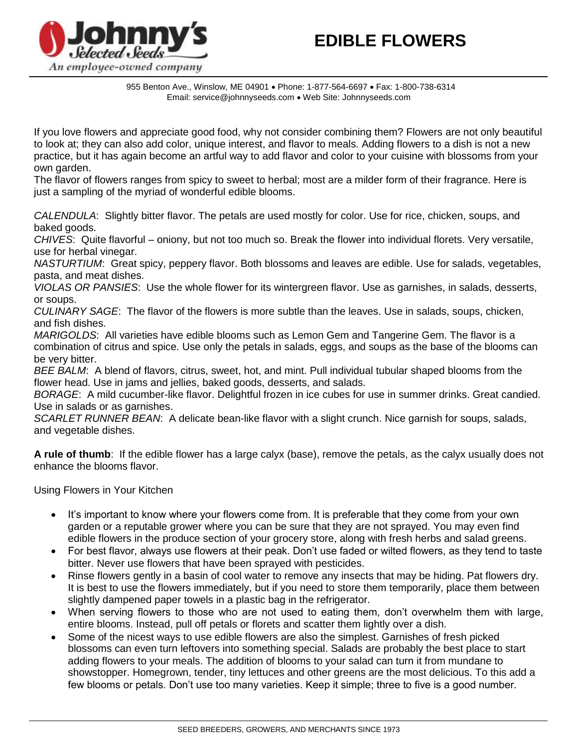

955 Benton Ave., Winslow, ME 04901 Phone: 1-877-564-6697 Fax: 1-800-738-6314 Email: service@johnnyseeds.com Web Site: Johnnyseeds.com

If you love flowers and appreciate good food, why not consider combining them? Flowers are not only beautiful to look at; they can also add color, unique interest, and flavor to meals. Adding flowers to a dish is not a new practice, but it has again become an artful way to add flavor and color to your cuisine with blossoms from your own garden.

The flavor of flowers ranges from spicy to sweet to herbal; most are a milder form of their fragrance. Here is just a sampling of the myriad of wonderful edible blooms.

*CALENDULA*: Slightly bitter flavor. The petals are used mostly for color. Use for rice, chicken, soups, and baked goods.

*CHIVES*: Quite flavorful – oniony, but not too much so. Break the flower into individual florets. Very versatile, use for herbal vinegar.

*NASTURTIUM*: Great spicy, peppery flavor. Both blossoms and leaves are edible. Use for salads, vegetables, pasta, and meat dishes.

*VIOLAS OR PANSIES*: Use the whole flower for its wintergreen flavor. Use as garnishes, in salads, desserts, or soups.

*CULINARY SAGE*: The flavor of the flowers is more subtle than the leaves. Use in salads, soups, chicken, and fish dishes.

*MARIGOLDS*: All varieties have edible blooms such as Lemon Gem and Tangerine Gem. The flavor is a combination of citrus and spice. Use only the petals in salads, eggs, and soups as the base of the blooms can be very bitter.

*BEE BALM*: A blend of flavors, citrus, sweet, hot, and mint. Pull individual tubular shaped blooms from the flower head. Use in jams and jellies, baked goods, desserts, and salads.

*BORAGE*: A mild cucumber-like flavor. Delightful frozen in ice cubes for use in summer drinks. Great candied. Use in salads or as garnishes.

*SCARLET RUNNER BEAN*: A delicate bean-like flavor with a slight crunch. Nice garnish for soups, salads, and vegetable dishes.

**A rule of thumb**: If the edible flower has a large calyx (base), remove the petals, as the calyx usually does not enhance the blooms flavor.

Using Flowers in Your Kitchen

- It's important to know where your flowers come from. It is preferable that they come from your own garden or a reputable grower where you can be sure that they are not sprayed. You may even find edible flowers in the produce section of your grocery store, along with fresh herbs and salad greens.
- For best flavor, always use flowers at their peak. Don't use faded or wilted flowers, as they tend to taste bitter. Never use flowers that have been sprayed with pesticides.
- Rinse flowers gently in a basin of cool water to remove any insects that may be hiding. Pat flowers dry. It is best to use the flowers immediately, but if you need to store them temporarily, place them between slightly dampened paper towels in a plastic bag in the refrigerator.
- When serving flowers to those who are not used to eating them, don't overwhelm them with large, entire blooms. Instead, pull off petals or florets and scatter them lightly over a dish.
- Some of the nicest ways to use edible flowers are also the simplest. Garnishes of fresh picked blossoms can even turn leftovers into something special. Salads are probably the best place to start adding flowers to your meals. The addition of blooms to your salad can turn it from mundane to showstopper. Homegrown, tender, tiny lettuces and other greens are the most delicious. To this add a few blooms or petals. Don't use too many varieties. Keep it simple; three to five is a good number.